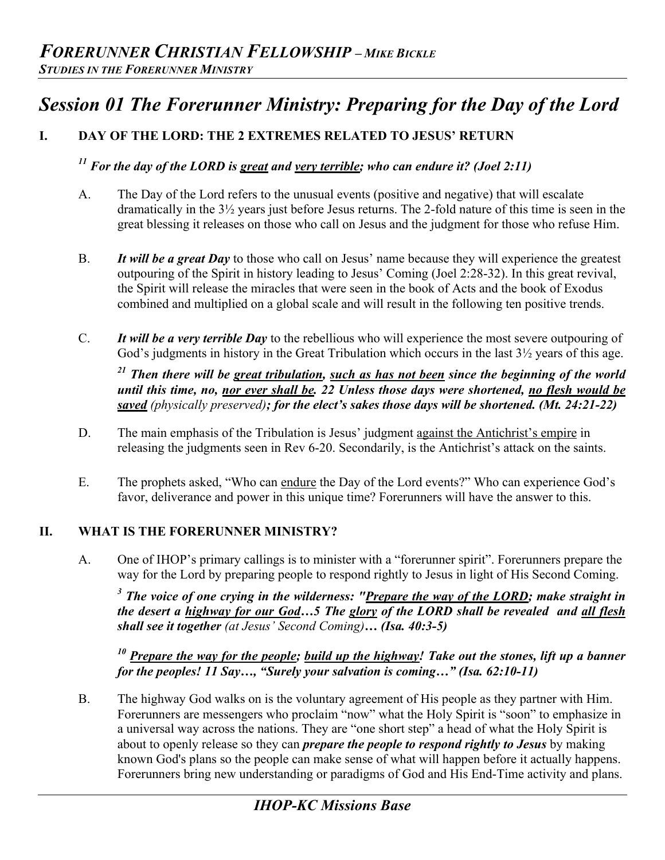# *Session 01 The Forerunner Ministry: Preparing for the Day of the Lord*

# **I. DAY OF THE LORD: THE 2 EXTREMES RELATED TO JESUS' RETURN**

# *<sup>11</sup> For the day of the LORD is great and very terrible; who can endure it? (Joel 2:11)*

- A. The Day of the Lord refers to the unusual events (positive and negative) that will escalate dramatically in the 3½ years just before Jesus returns. The 2-fold nature of this time is seen in the great blessing it releases on those who call on Jesus and the judgment for those who refuse Him.
- B. *It will be a great Day* to those who call on Jesus' name because they will experience the greatest outpouring of the Spirit in history leading to Jesus' Coming (Joel 2:28-32). In this great revival, the Spirit will release the miracles that were seen in the book of Acts and the book of Exodus combined and multiplied on a global scale and will result in the following ten positive trends.
- C. *It will be a very terrible Day* to the rebellious who will experience the most severe outpouring of God's judgments in history in the Great Tribulation which occurs in the last  $3\frac{1}{2}$  years of this age.

*21 Then there will be great tribulation, such as has not been since the beginning of the world until this time, no, nor ever shall be. 22 Unless those days were shortened, no flesh would be saved (physically preserved); for the elect's sakes those days will be shortened. (Mt. 24:21-22)* 

- D. The main emphasis of the Tribulation is Jesus' judgment against the Antichrist's empire in releasing the judgments seen in Rev 6-20. Secondarily, is the Antichrist's attack on the saints.
- E. The prophets asked, "Who can endure the Day of the Lord events?" Who can experience God's favor, deliverance and power in this unique time? Forerunners will have the answer to this.

#### **II. WHAT IS THE FORERUNNER MINISTRY?**

A. One of IHOP's primary callings is to minister with a "forerunner spirit". Forerunners prepare the way for the Lord by preparing people to respond rightly to Jesus in light of His Second Coming.

<sup>3</sup> The voice of one crying in the wilderness: "<u>Prepare the way of the LORD</u>; make straight in *the desert a highway for our God…5 The glory of the LORD shall be revealed and all flesh shall see it together (at Jesus' Second Coming)… (Isa. 40:3-5)* 

*<sup>10</sup> Prepare the way for the people; build up the highway! Take out the stones, lift up a banner for the peoples! 11 Say…, "Surely your salvation is coming…" (Isa. 62:10-11)* 

B. The highway God walks on is the voluntary agreement of His people as they partner with Him. Forerunners are messengers who proclaim "now" what the Holy Spirit is "soon" to emphasize in a universal way across the nations. They are "one short step" a head of what the Holy Spirit is about to openly release so they can *prepare the people to respond rightly to Jesus* by making known God's plans so the people can make sense of what will happen before it actually happens. Forerunners bring new understanding or paradigms of God and His End-Time activity and plans.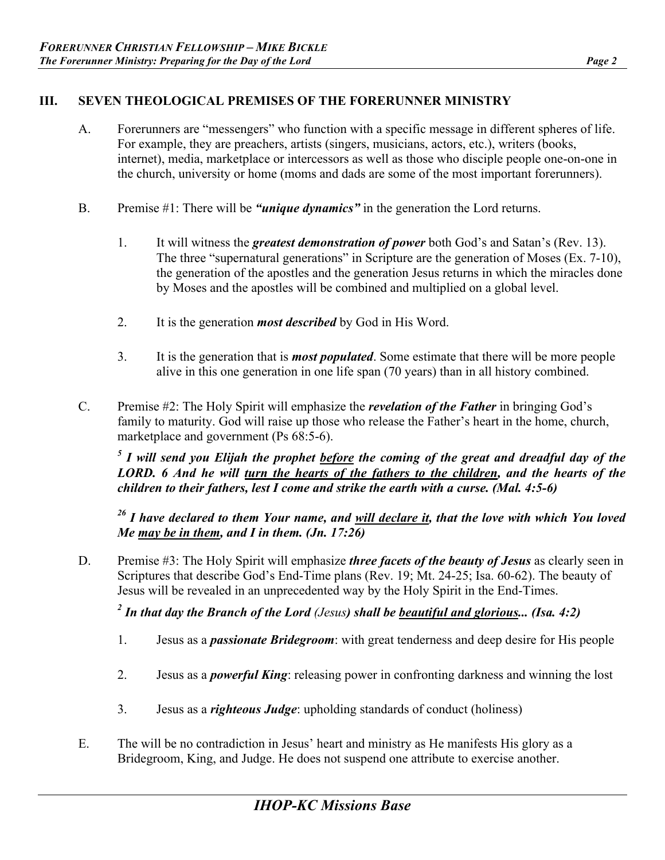### **III. SEVEN THEOLOGICAL PREMISES OF THE FORERUNNER MINISTRY**

- A. Forerunners are "messengers" who function with a specific message in different spheres of life. For example, they are preachers, artists (singers, musicians, actors, etc.), writers (books, internet), media, marketplace or intercessors as well as those who disciple people one-on-one in the church, university or home (moms and dads are some of the most important forerunners).
- B. Premise #1: There will be *"unique dynamics"* in the generation the Lord returns.
	- 1. It will witness the *greatest demonstration of power* both God's and Satan's (Rev. 13). The three "supernatural generations" in Scripture are the generation of Moses (Ex. 7-10), the generation of the apostles and the generation Jesus returns in which the miracles done by Moses and the apostles will be combined and multiplied on a global level.
	- 2. It is the generation *most described* by God in His Word.
	- 3. It is the generation that is *most populated*. Some estimate that there will be more people alive in this one generation in one life span (70 years) than in all history combined.
- C. Premise #2: The Holy Spirit will emphasize the *revelation of the Father* in bringing God's family to maturity. God will raise up those who release the Father's heart in the home, church, marketplace and government (Ps 68:5-6).

*<sup>5</sup> I will send you Elijah the prophet before the coming of the great and dreadful day of the LORD. 6 And he will turn the hearts of the fathers to the children, and the hearts of the children to their fathers, lest I come and strike the earth with a curse. (Mal. 4:5-6)* 

*<sup>26</sup> I have declared to them Your name, and will declare it, that the love with which You loved Me may be in them, and I in them. (Jn. 17:26)* 

D. Premise #3: The Holy Spirit will emphasize *three facets of the beauty of Jesus* as clearly seen in Scriptures that describe God's End-Time plans (Rev. 19; Mt. 24-25; Isa. 60-62). The beauty of Jesus will be revealed in an unprecedented way by the Holy Spirit in the End-Times.

*2 In that day the Branch of the Lord (Jesus) shall be beautiful and glorious... (Isa. 4:2)* 

- 1. Jesus as a *passionate Bridegroom*: with great tenderness and deep desire for His people
- 2. Jesus as a *powerful King*: releasing power in confronting darkness and winning the lost
- 3. Jesus as a *righteous Judge*: upholding standards of conduct (holiness)
- E. The will be no contradiction in Jesus' heart and ministry as He manifests His glory as a Bridegroom, King, and Judge. He does not suspend one attribute to exercise another.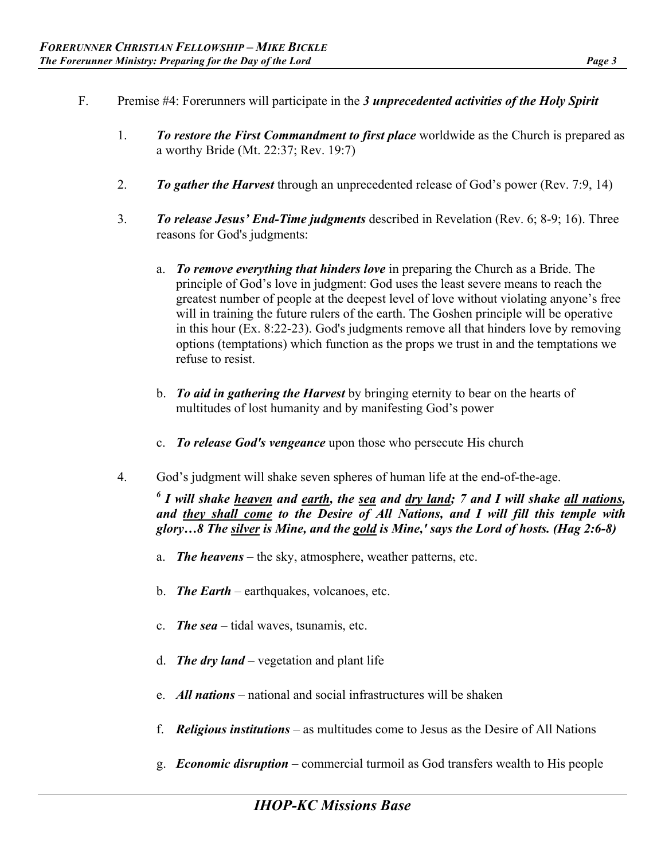- F. Premise #4: Forerunners will participate in the *3 unprecedented activities of the Holy Spirit*
	- 1. *To restore the First Commandment to first place* worldwide as the Church is prepared as a worthy Bride (Mt. 22:37; Rev. 19:7)
	- 2. *To gather the Harvest* through an unprecedented release of God's power (Rev. 7:9, 14)
	- 3. *To release Jesus' End-Time judgments* described in Revelation (Rev. 6; 8-9; 16). Three reasons for God's judgments:
		- a. *To remove everything that hinders love* in preparing the Church as a Bride. The principle of God's love in judgment: God uses the least severe means to reach the greatest number of people at the deepest level of love without violating anyone's free will in training the future rulers of the earth. The Goshen principle will be operative in this hour (Ex. 8:22-23). God's judgments remove all that hinders love by removing options (temptations) which function as the props we trust in and the temptations we refuse to resist.
		- b. *To aid in gathering the Harvest* by bringing eternity to bear on the hearts of multitudes of lost humanity and by manifesting God's power
		- c. *To release God's vengeance* upon those who persecute His church
	- 4. God's judgment will shake seven spheres of human life at the end-of-the-age.

<sup>6</sup> I will shake <u>heaven</u> and <u>earth</u>, the <u>sea</u> and <u>dry land</u>; 7 and I will shake <u>all nations</u>, *and they shall come to the Desire of All Nations, and I will fill this temple with glory…8 The silver is Mine, and the gold is Mine,' says the Lord of hosts. (Hag 2:6-8)* 

- a. *The heavens* the sky, atmosphere, weather patterns, etc.
- b. *The Earth* earthquakes, volcanoes, etc.
- c. *The sea* tidal waves, tsunamis, etc.
- d. *The dry land* vegetation and plant life
- e. *All nations* national and social infrastructures will be shaken
- f. *Religious institutions* as multitudes come to Jesus as the Desire of All Nations
- g. *Economic disruption*  commercial turmoil as God transfers wealth to His people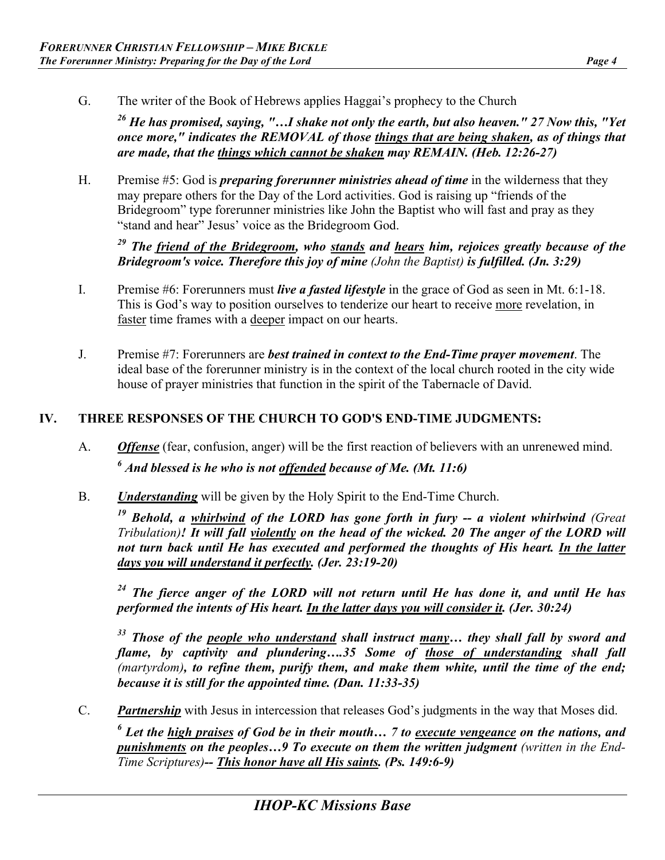G. The writer of the Book of Hebrews applies Haggai's prophecy to the Church

*26 He has promised, saying, "…I shake not only the earth, but also heaven." 27 Now this, "Yet once more," indicates the REMOVAL of those things that are being shaken, as of things that are made, that the things which cannot be shaken may REMAIN. (Heb. 12:26-27)* 

H. Premise #5: God is *preparing forerunner ministries ahead of time* in the wilderness that they may prepare others for the Day of the Lord activities. God is raising up "friends of the Bridegroom" type forerunner ministries like John the Baptist who will fast and pray as they "stand and hear" Jesus' voice as the Bridegroom God.

*<sup>29</sup> The friend of the Bridegroom, who stands and hears him, rejoices greatly because of the Bridegroom's voice. Therefore this joy of mine (John the Baptist) is fulfilled. (Jn. 3:29)* 

- I. Premise #6: Forerunners must *live a fasted lifestyle* in the grace of God as seen in Mt. 6:1-18. This is God's way to position ourselves to tenderize our heart to receive more revelation, in faster time frames with a deeper impact on our hearts.
- J. Premise #7: Forerunners are *best trained in context to the End-Time prayer movement*. The ideal base of the forerunner ministry is in the context of the local church rooted in the city wide house of prayer ministries that function in the spirit of the Tabernacle of David.

## **IV. THREE RESPONSES OF THE CHURCH TO GOD'S END-TIME JUDGMENTS:**

- A. *Offense* (fear, confusion, anger) will be the first reaction of believers with an unrenewed mind. *<sup>6</sup> And blessed is he who is not offended because of Me. (Mt. 11:6)*
- B. *Understanding* will be given by the Holy Spirit to the End-Time Church.

*19 Behold, a whirlwind of the LORD has gone forth in fury -- a violent whirlwind (Great Tribulation)! It will fall violently on the head of the wicked. 20 The anger of the LORD will*  not turn back until He has executed and performed the thoughts of His heart. In the latter *days you will understand it perfectly. (Jer. 23:19-20)* 

*24 The fierce anger of the LORD will not return until He has done it, and until He has performed the intents of His heart. In the latter days you will consider it. (Jer. 30:24)*

*33 Those of the people who understand shall instruct many… they shall fall by sword and flame, by captivity and plundering….35 Some of those of understanding shall fall (martyrdom), to refine them, purify them, and make them white, until the time of the end; because it is still for the appointed time. (Dan. 11:33-35)* 

C. *Partnership* with Jesus in intercession that releases God's judgments in the way that Moses did.

*<sup>6</sup> Let the high praises of God be in their mouth… 7 to execute vengeance on the nations, and punishments on the peoples…9 To execute on them the written judgment (written in the End-Time Scriptures)-- This honor have all His saints. (Ps. 149:6-9)*